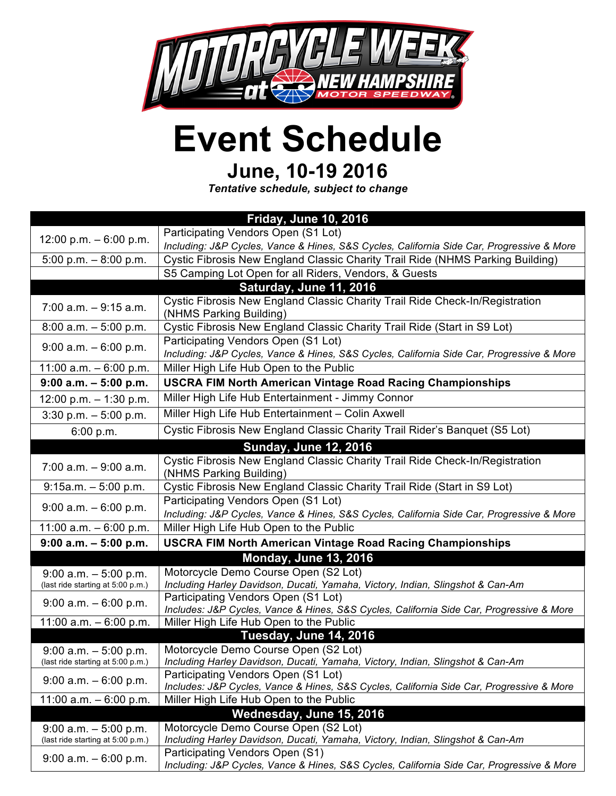

## **Event Schedule**

## **June, 10-19 2016**

*Tentative schedule, subject to change*

| <b>Friday, June 10, 2016</b>      |                                                                                                                                 |  |
|-----------------------------------|---------------------------------------------------------------------------------------------------------------------------------|--|
| 12:00 p.m. $-6:00$ p.m.           | Participating Vendors Open (S1 Lot)                                                                                             |  |
|                                   | Including: J&P Cycles, Vance & Hines, S&S Cycles, California Side Car, Progressive & More                                       |  |
| 5:00 p.m. $-8:00$ p.m.            | Cystic Fibrosis New England Classic Charity Trail Ride (NHMS Parking Building)                                                  |  |
|                                   | S5 Camping Lot Open for all Riders, Vendors, & Guests                                                                           |  |
|                                   | Saturday, June 11, 2016                                                                                                         |  |
| $7:00$ a.m. $-9:15$ a.m.          | Cystic Fibrosis New England Classic Charity Trail Ride Check-In/Registration                                                    |  |
|                                   | (NHMS Parking Building)                                                                                                         |  |
| $8:00$ a.m. $-5:00$ p.m.          | Cystic Fibrosis New England Classic Charity Trail Ride (Start in S9 Lot)                                                        |  |
| $9:00$ a.m. $-6:00$ p.m.          | Participating Vendors Open (S1 Lot)                                                                                             |  |
|                                   | Including: J&P Cycles, Vance & Hines, S&S Cycles, California Side Car, Progressive & More                                       |  |
| 11:00 $a.m. - 6:00$ p.m.          | Miller High Life Hub Open to the Public                                                                                         |  |
| $9:00$ a.m. $-5:00$ p.m.          | <b>USCRA FIM North American Vintage Road Racing Championships</b>                                                               |  |
| 12:00 p.m. $-$ 1:30 p.m.          | Miller High Life Hub Entertainment - Jimmy Connor                                                                               |  |
| $3:30$ p.m. $-5:00$ p.m.          | Miller High Life Hub Entertainment - Colin Axwell                                                                               |  |
| 6:00 p.m.                         | Cystic Fibrosis New England Classic Charity Trail Rider's Banquet (S5 Lot)                                                      |  |
| <b>Sunday, June 12, 2016</b>      |                                                                                                                                 |  |
| $7:00$ a.m. $-9:00$ a.m.          | Cystic Fibrosis New England Classic Charity Trail Ride Check-In/Registration                                                    |  |
|                                   | (NHMS Parking Building)                                                                                                         |  |
| $9:15a.m. - 5:00 p.m.$            | Cystic Fibrosis New England Classic Charity Trail Ride (Start in S9 Lot)                                                        |  |
| $9:00$ a.m. $-6:00$ p.m.          | Participating Vendors Open (S1 Lot)                                                                                             |  |
|                                   | Including: J&P Cycles, Vance & Hines, S&S Cycles, California Side Car, Progressive & More                                       |  |
| 11:00 a.m. $-6:00$ p.m.           | Miller High Life Hub Open to the Public                                                                                         |  |
| $9:00$ a.m. $-5:00$ p.m.          | <b>USCRA FIM North American Vintage Road Racing Championships</b>                                                               |  |
|                                   | <b>Monday, June 13, 2016</b>                                                                                                    |  |
| $9:00$ a.m. $-5:00$ p.m.          | Motorcycle Demo Course Open (S2 Lot)                                                                                            |  |
| (last ride starting at 5:00 p.m.) | Including Harley Davidson, Ducati, Yamaha, Victory, Indian, Slingshot & Can-Am                                                  |  |
| $9:00$ a.m. $-6:00$ p.m.          | Participating Vendors Open (S1 Lot)<br>Includes: J&P Cycles, Vance & Hines, S&S Cycles, California Side Car, Progressive & More |  |
| 11:00 a.m. $-6:00$ p.m.           | Miller High Life Hub Open to the Public                                                                                         |  |
|                                   | Tuesday, June 14, 2016                                                                                                          |  |
| $9:00$ a.m. $-5:00$ p.m.          | Motorcycle Demo Course Open (S2 Lot)                                                                                            |  |
| (last ride starting at 5:00 p.m.) | Including Harley Davidson, Ducati, Yamaha, Victory, Indian, Slingshot & Can-Am                                                  |  |
| $9:00$ a.m. $-6:00$ p.m.          | Participating Vendors Open (S1 Lot)                                                                                             |  |
|                                   | Includes: J&P Cycles, Vance & Hines, S&S Cycles, California Side Car, Progressive & More                                        |  |
| 11:00 $a.m. - 6:00 p.m.$          | Miller High Life Hub Open to the Public                                                                                         |  |
|                                   | Wednesday, June 15, 2016                                                                                                        |  |
| $9:00$ a.m. $-5:00$ p.m.          | Motorcycle Demo Course Open (S2 Lot)                                                                                            |  |
| (last ride starting at 5:00 p.m.) | Including Harley Davidson, Ducati, Yamaha, Victory, Indian, Slingshot & Can-Am<br>Participating Vendors Open (S1)               |  |
| $9:00$ a.m. $-6:00$ p.m.          | Including: J&P Cycles, Vance & Hines, S&S Cycles, California Side Car, Progressive & More                                       |  |